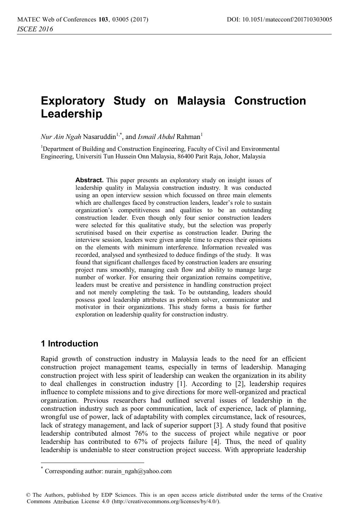# **Exploratory Study on Malaysia Construction Leadership**

*Nur Ain Ngah* Nasaruddin<sup>1,\*</sup>, and *Ismail Abdul* Rahman<sup>1</sup>

<sup>1</sup>Department of Building and Construction Engineering, Faculty of Civil and Environmental Engineering, Universiti Tun Hussein Onn Malaysia, 86400 Parit Raja, Johor, Malaysia

> **Abstract.** This paper presents an exploratory study on insight issues of leadership quality in Malaysia construction industry. It was conducted using an open interview session which focussed on three main elements which are challenges faced by construction leaders, leader's role to sustain organization's competitiveness and qualities to be an outstanding construction leader. Even though only four senior construction leaders were selected for this qualitative study, but the selection was properly scrutinised based on their expertise as construction leader. During the interview session, leaders were given ample time to express their opinions on the elements with minimum interference. Information revealed was recorded, analysed and synthesized to deduce findings of the study. It was found that significant challenges faced by construction leaders are ensuring project runs smoothly, managing cash flow and ability to manage large number of worker. For ensuring their organization remains competitive, leaders must be creative and persistence in handling construction project and not merely completing the task. To be outstanding, leaders should possess good leadership attributes as problem solver, communicator and motivator in their organizations. This study forms a basis for further exploration on leadership quality for construction industry.

### **1 Introduction**

 $\overline{a}$ 

Rapid growth of construction industry in Malaysia leads to the need for an efficient construction project management teams, especially in terms of leadership. Managing construction project with less spirit of leadership can weaken the organization in its ability to deal challenges in construction industry [1]. According to [2], leadership requires influence to complete missions and to give directions for more well-organized and practical organization. Previous researchers had outlined several issues of leadership in the construction industry such as poor communication, lack of experience, lack of planning, wrongful use of power, lack of adaptability with complex circumstance, lack of resources, lack of strategy management, and lack of superior support [3]. A study found that positive leadership contributed almost 76% to the success of project while negative or poor leadership has contributed to 67% of projects failure [4]. Thus, the need of quality leadership is undeniable to steer construction project success. With appropriate leadership

Corresponding author: nurain\_ngah@yahoo.com

<sup>©</sup> The Authors, published by EDP Sciences. This is an open access article distributed under the terms of the Creative Commons Attribution License 4.0 (http://creativecommons.org/licenses/by/4.0/).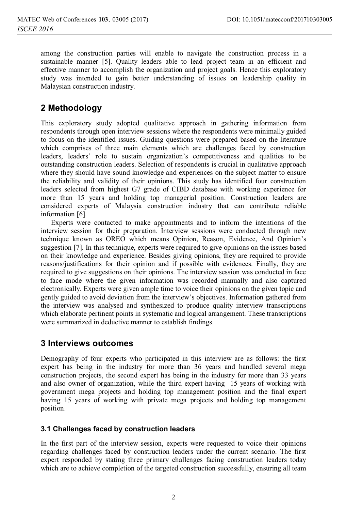among the construction parties will enable to navigate the construction process in a sustainable manner [5]. Quality leaders able to lead project team in an efficient and effective manner to accomplish the organization and project goals. Hence this exploratory study was intended to gain better understanding of issues on leadership quality in Malaysian construction industry.

## **2 Methodology**

This exploratory study adopted qualitative approach in gathering information from respondents through open interview sessions where the respondents were minimally guided to focus on the identified issues. Guiding questions were prepared based on the literature which comprises of three main elements which are challenges faced by construction leaders, leaders' role to sustain organization's competitiveness and qualities to be outstanding construction leaders. Selection of respondents is crucial in qualitative approach where they should have sound knowledge and experiences on the subject matter to ensure the reliability and validity of their opinions. This study has identified four construction leaders selected from highest G7 grade of CIBD database with working experience for more than 15 years and holding top managerial position. Construction leaders are considered experts of Malaysia construction industry that can contribute reliable information [6].

Experts were contacted to make appointments and to inform the intentions of the interview session for their preparation. Interview sessions were conducted through new technique known as OREO which means Opinion, Reason, Evidence, And Opinion's suggestion [7]. In this technique, experts were required to give opinions on the issues based on their knowledge and experience. Besides giving opinions, they are required to provide reasons/justifications for their opinion and if possible with evidences. Finally, they are required to give suggestions on their opinions. The interview session was conducted in face to face mode where the given information was recorded manually and also captured electronically. Experts were given ample time to voice their opinions on the given topic and gently guided to avoid deviation from the interview's objectives. Information gathered from the interview was analysed and synthesized to produce quality interview transcriptions which elaborate pertinent points in systematic and logical arrangement. These transcriptions were summarized in deductive manner to establish findings.

### **3 Interviews outcomes**

Demography of four experts who participated in this interview are as follows: the first expert has being in the industry for more than 36 years and handled several mega construction projects, the second expert has being in the industry for more than 33 years and also owner of organization, while the third expert having 15 years of working with government mega projects and holding top management position and the final expert having 15 years of working with private mega projects and holding top management position.

#### **3.1 Challenges faced by construction leaders**

In the first part of the interview session, experts were requested to voice their opinions regarding challenges faced by construction leaders under the current scenario. The first expert responded by stating three primary challenges facing construction leaders today which are to achieve completion of the targeted construction successfully, ensuring all team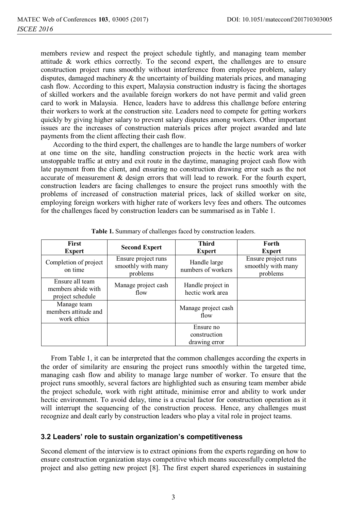members review and respect the project schedule tightly, and managing team member attitude  $\&$  work ethics correctly. To the second expert, the challenges are to ensure construction project runs smoothly without interference from employee problem, salary disputes, damaged machinery & the uncertainty of building materials prices, and managing cash flow. According to this expert, Malaysia construction industry is facing the shortages of skilled workers and the available foreign workers do not have permit and valid green card to work in Malaysia. Hence, leaders have to address this challenge before entering their workers to work at the construction site. Leaders need to compete for getting workers quickly by giving higher salary to prevent salary disputes among workers. Other important issues are the increases of construction materials prices after project awarded and late payments from the client affecting their cash flow.

 According to the third expert, the challenges are to handle the large numbers of worker at one time on the site, handling construction projects in the hectic work area with unstoppable traffic at entry and exit route in the daytime, managing project cash flow with late payment from the client, and ensuring no construction drawing error such as the not accurate of measurement & design errors that will lead to rework. For the fourth expert, construction leaders are facing challenges to ensure the project runs smoothly with the problems of increased of construction material prices, lack of skilled worker on site, employing foreign workers with higher rate of workers levy fees and others. The outcomes for the challenges faced by construction leaders can be summarised as in Table 1.

| <b>First</b><br><b>Expert</b>                             | <b>Second Expert</b>                                  | <b>Third</b><br><b>Expert</b>              | Forth<br><b>Expert</b>                                |
|-----------------------------------------------------------|-------------------------------------------------------|--------------------------------------------|-------------------------------------------------------|
| Completion of project<br>on time                          | Ensure project runs<br>smoothly with many<br>problems | Handle large<br>numbers of workers         | Ensure project runs<br>smoothly with many<br>problems |
| Ensure all team<br>members abide with<br>project schedule | Manage project cash<br>flow                           | Handle project in<br>hectic work area      |                                                       |
| Manage team<br>members attitude and<br>work ethics        |                                                       | Manage project cash<br>flow                |                                                       |
|                                                           |                                                       | Ensure no<br>construction<br>drawing error |                                                       |

**Table 1.** Summary of challenges faced by construction leaders.

From Table 1, it can be interpreted that the common challenges according the experts in the order of similarity are ensuring the project runs smoothly within the targeted time, managing cash flow and ability to manage large number of worker. To ensure that the project runs smoothly, several factors are highlighted such as ensuring team member abide the project schedule, work with right attitude, minimise error and ability to work under hectic environment. To avoid delay, time is a crucial factor for construction operation as it will interrupt the sequencing of the construction process. Hence, any challenges must recognize and dealt early by construction leaders who play a vital role in project teams.

#### **3.2 Leaders' role to sustain organization's competitiveness**

Second element of the interview is to extract opinions from the experts regarding on how to ensure construction organization stays competitive which means successfully completed the project and also getting new project [8]. The first expert shared experiences in sustaining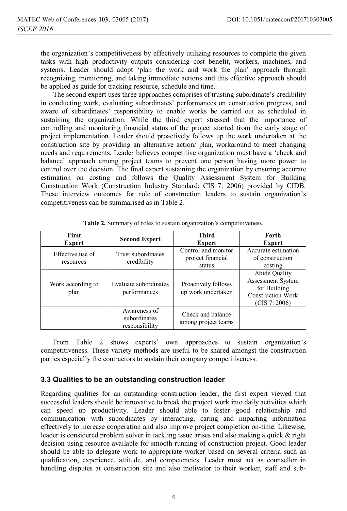the organization's competitiveness by effectively utilizing resources to complete the given tasks with high productivity outputs considering cost benefit, workers, machines, and systems. Leader should adopt 'plan the work and work the plan' approach through recognizing, monitoring, and taking immediate actions and this effective approach should be applied as guide for tracking resource, schedule and time.

 The second expert uses three approaches comprises of trusting subordinate's credibility in conducting work, evaluating subordinates' performances on construction progress, and aware of subordinates' responsibility to enable works be carried out as scheduled in sustaining the organization. While the third expert stressed that the importance of controlling and monitoring financial status of the project started from the early stage of project implementation. Leader should proactively follows up the work undertaken at the construction site by providing an alternative action/ plan, workaround to meet changing needs and requirements. Leader believes competitive organization must have a 'check and balance' approach among project teams to prevent one person having more power to control over the decision. The final expert sustaining the organization by ensuring accurate estimation on costing and follows the Quality Assessment System for Building Construction Work (Construction Industry Standard; CIS 7: 2006) provided by CIDB. These interview outcomes for role of construction leaders to sustain organization's competitiveness can be summarised as in Table 2.

| <b>First</b><br><b>Expert</b> | <b>Second Expert</b>                           | <b>Third</b><br><b>Expert</b>                      | Forth<br>Expert                                                                                        |
|-------------------------------|------------------------------------------------|----------------------------------------------------|--------------------------------------------------------------------------------------------------------|
| Effective use of<br>resources | Trust subordinates<br>credibility              | Control and monitor<br>project financial<br>status | Accurate estimation<br>of construction<br>costing                                                      |
| Work according to<br>plan     | Evaluate subordinates<br>performances          | Proactively follows<br>up work undertaken          | Abide Quality<br><b>Assessment System</b><br>for Building<br><b>Construction Work</b><br>(CIS 7: 2006) |
|                               | Awareness of<br>subordinates<br>responsibility | Check and balance<br>among project teams           |                                                                                                        |

| <b>Table 2.</b> Summary of roles to sustain organization's competitiveness. |  |
|-----------------------------------------------------------------------------|--|
|                                                                             |  |

 From Table 2 shows experts' own approaches to sustain organization's competitiveness. These variety methods are useful to be shared amongst the construction parties especially the contractors to sustain their company competitiveness.

#### **3.3 Qualities to be an outstanding construction leader**

Regarding qualities for an outstanding construction leader, the first expert viewed that successful leaders should be innovative to break the project work into daily activities which can speed up productivity. Leader should able to foster good relationship and communication with subordinates by interacting, caring and imparting information effectively to increase cooperation and also improve project completion on-time. Likewise, leader is considered problem solver in tackling issue arises and also making a quick & right decision using resource available for smooth running of construction project. Good leader should be able to delegate work to appropriate worker based on several criteria such as qualification, experience, attitude, and competencies. Leader must act as counsellor in handling disputes at construction site and also motivator to their worker, staff and sub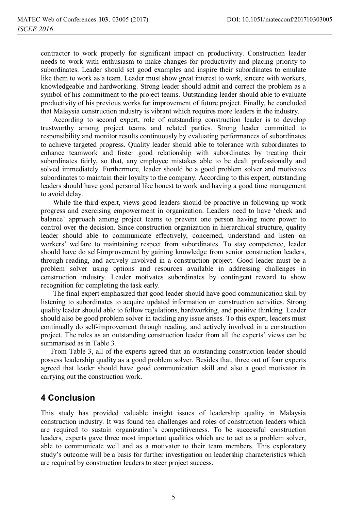contractor to work properly for significant impact on productivity. Construction leader needs to work with enthusiasm to make changes for productivity and placing priority to subordinates. Leader should set good examples and inspire their subordinates to emulate like them to work as a team. Leader must show great interest to work, sincere with workers, knowledgeable and hardworking. Strong leader should admit and correct the problem as a symbol of his commitment to the project teams. Outstanding leader should able to evaluate productivity of his previous works for improvement of future project. Finally, he concluded that Malaysia construction industry is vibrant which requires more leaders in the industry.

 According to second expert, role of outstanding construction leader is to develop trustworthy among project teams and related parties. Strong leader committed to responsibility and monitor results continuously by evaluating performances of subordinates to achieve targeted progress. Quality leader should able to tolerance with subordinates to enhance teamwork and foster good relationship with subordinates by treating their subordinates fairly, so that, any employee mistakes able to be dealt professionally and solved immediately. Furthermore, leader should be a good problem solver and motivates subordinates to maintain their loyalty to the company. According to this expert, outstanding leaders should have good personal like honest to work and having a good time management to avoid delay.

 While the third expert, views good leaders should be proactive in following up work progress and exercising empowerment in organization. Leaders need to have 'check and balance' approach among project teams to prevent one person having more power to control over the decision. Since construction organization in hierarchical structure, quality leader should able to communicate effectively, concerned, understand and listen on workers' welfare to maintaining respect from subordinates. To stay competence, leader should have do self-improvement by gaining knowledge from senior construction leaders, through reading, and actively involved in a construction project. Good leader must be a problem solver using options and resources available in addressing challenges in construction industry. Leader motivates subordinates by contingent reward to show recognition for completing the task early.

 The final expert emphasized that good leader should have good communication skill by listening to subordinates to acquire updated information on construction activities. Strong quality leader should able to follow regulations, hardworking, and positive thinking. Leader should also be good problem solver in tackling any issue arises. To this expert, leaders must continually do self-improvement through reading, and actively involved in a construction project. The roles as an outstanding construction leader from all the experts' views can be summarised as in Table 3.

From Table 3, all of the experts agreed that an outstanding construction leader should possess leadership quality as a good problem solver. Besides that, three out of four experts agreed that leader should have good communication skill and also a good motivator in carrying out the construction work.

### **4 Conclusion**

This study has provided valuable insight issues of leadership quality in Malaysia construction industry. It was found ten challenges and roles of construction leaders which are required to sustain organization's competitiveness. To be successful construction leaders, experts gave three most important qualities which are to act as a problem solver, able to communicate well and as a motivator to their team members. This exploratory study's outcome will be a basis for further investigation on leadership characteristics which are required by construction leaders to steer project success.